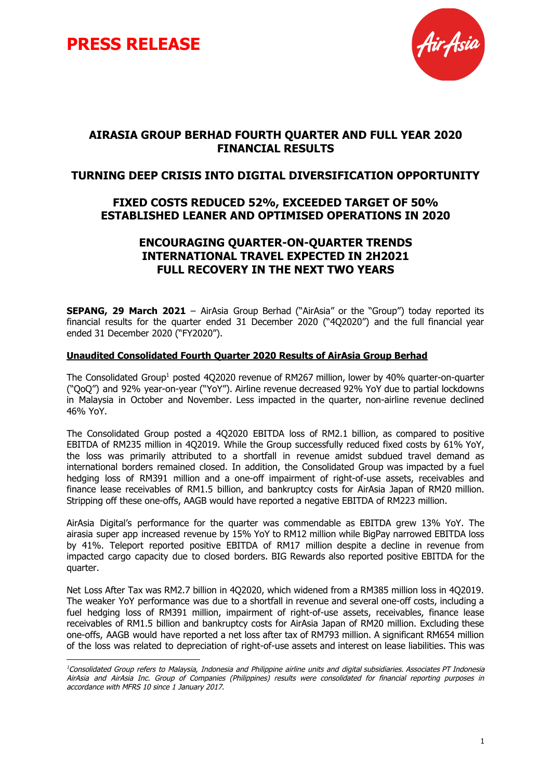



## **AIRASIA GROUP BERHAD FOURTH QUARTER AND FULL YEAR 2020 FINANCIAL RESULTS**

### **TURNING DEEP CRISIS INTO DIGITAL DIVERSIFICATION OPPORTUNITY**

## **FIXED COSTS REDUCED 52%, EXCEEDED TARGET OF 50% ESTABLISHED LEANER AND OPTIMISED OPERATIONS IN 2020**

## **ENCOURAGING QUARTER-ON-QUARTER TRENDS INTERNATIONAL TRAVEL EXPECTED IN 2H2021 FULL RECOVERY IN THE NEXT TWO YEARS**

**SEPANG, 29 March 2021** – AirAsia Group Berhad ("AirAsia" or the "Group") today reported its financial results for the quarter ended 31 December 2020 ("4Q2020") and the full financial year ended 31 December 2020 ("FY2020").

#### **Unaudited Consolidated Fourth Quarter 2020 Results of AirAsia Group Berhad**

The Consolidated Group<sup>1</sup> posted 4Q2020 revenue of RM267 million, lower by 40% quarter-on-quarter ("QoQ") and 92% year-on-year ("YoY"). Airline revenue decreased 92% YoY due to partial lockdowns in Malaysia in October and November. Less impacted in the quarter, non-airline revenue declined 46% YoY.

The Consolidated Group posted a 4Q2020 EBITDA loss of RM2.1 billion, as compared to positive EBITDA of RM235 million in 4Q2019. While the Group successfully reduced fixed costs by 61% YoY, the loss was primarily attributed to a shortfall in revenue amidst subdued travel demand as international borders remained closed. In addition, the Consolidated Group was impacted by a fuel hedging loss of RM391 million and a one-off impairment of right-of-use assets, receivables and finance lease receivables of RM1.5 billion, and bankruptcy costs for AirAsia Japan of RM20 million. Stripping off these one-offs, AAGB would have reported a negative EBITDA of RM223 million.

AirAsia Digital's performance for the quarter was commendable as EBITDA grew 13% YoY. The airasia super app increased revenue by 15% YoY to RM12 million while BigPay narrowed EBITDA loss by 41%. Teleport reported positive EBITDA of RM17 million despite a decline in revenue from impacted cargo capacity due to closed borders. BIG Rewards also reported positive EBITDA for the quarter.

Net Loss After Tax was RM2.7 billion in 4Q2020, which widened from a RM385 million loss in 4Q2019. The weaker YoY performance was due to a shortfall in revenue and several one-off costs, including a fuel hedging loss of RM391 million, impairment of right-of-use assets, receivables, finance lease receivables of RM1.5 billion and bankruptcy costs for AirAsia Japan of RM20 million. Excluding these one-offs, AAGB would have reported a net loss after tax of RM793 million. A significant RM654 million of the loss was related to depreciation of right-of-use assets and interest on lease liabilities. This was

<sup>&</sup>lt;sup>1</sup>Consolidated Group refers to Malaysia, Indonesia and Philippine airline units and digital subsidiaries. Associates PT Indonesia AirAsia and AirAsia Inc. Group of Companies (Philippines) results were consolidated for financial reporting purposes in accordance with MFRS 10 since 1 January 2017.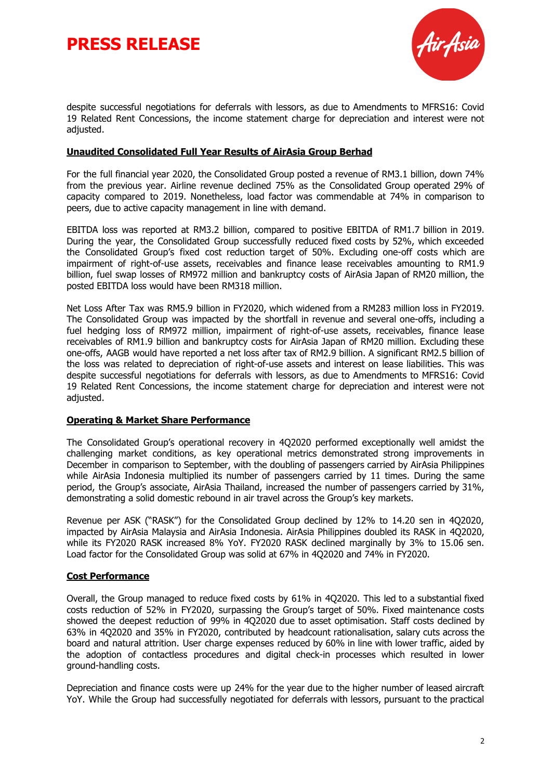



despite successful negotiations for deferrals with lessors, as due to Amendments to MFRS16: Covid 19 Related Rent Concessions, the income statement charge for depreciation and interest were not adjusted.

#### **Unaudited Consolidated Full Year Results of AirAsia Group Berhad**

For the full financial year 2020, the Consolidated Group posted a revenue of RM3.1 billion, down 74% from the previous year. Airline revenue declined 75% as the Consolidated Group operated 29% of capacity compared to 2019. Nonetheless, load factor was commendable at 74% in comparison to peers, due to active capacity management in line with demand.

EBITDA loss was reported at RM3.2 billion, compared to positive EBITDA of RM1.7 billion in 2019. During the year, the Consolidated Group successfully reduced fixed costs by 52%, which exceeded the Consolidated Group's fixed cost reduction target of 50%. Excluding one-off costs which are impairment of right-of-use assets, receivables and finance lease receivables amounting to RM1.9 billion, fuel swap losses of RM972 million and bankruptcy costs of AirAsia Japan of RM20 million, the posted EBITDA loss would have been RM318 million.

Net Loss After Tax was RM5.9 billion in FY2020, which widened from a RM283 million loss in FY2019. The Consolidated Group was impacted by the shortfall in revenue and several one-offs, including a fuel hedging loss of RM972 million, impairment of right-of-use assets, receivables, finance lease receivables of RM1.9 billion and bankruptcy costs for AirAsia Japan of RM20 million. Excluding these one-offs, AAGB would have reported a net loss after tax of RM2.9 billion. A significant RM2.5 billion of the loss was related to depreciation of right-of-use assets and interest on lease liabilities. This was despite successful negotiations for deferrals with lessors, as due to Amendments to MFRS16: Covid 19 Related Rent Concessions, the income statement charge for depreciation and interest were not adjusted.

#### **Operating & Market Share Performance**

The Consolidated Group's operational recovery in 4Q2020 performed exceptionally well amidst the challenging market conditions, as key operational metrics demonstrated strong improvements in December in comparison to September, with the doubling of passengers carried by AirAsia Philippines while AirAsia Indonesia multiplied its number of passengers carried by 11 times. During the same period, the Group's associate, AirAsia Thailand, increased the number of passengers carried by 31%, demonstrating a solid domestic rebound in air travel across the Group's key markets.

Revenue per ASK ("RASK") for the Consolidated Group declined by 12% to 14.20 sen in 4Q2020, impacted by AirAsia Malaysia and AirAsia Indonesia. AirAsia Philippines doubled its RASK in 4Q2020, while its FY2020 RASK increased 8% YoY. FY2020 RASK declined marginally by 3% to 15.06 sen. Load factor for the Consolidated Group was solid at 67% in 4Q2020 and 74% in FY2020.

#### **Cost Performance**

Overall, the Group managed to reduce fixed costs by 61% in 4Q2020. This led to a substantial fixed costs reduction of 52% in FY2020, surpassing the Group's target of 50%. Fixed maintenance costs showed the deepest reduction of 99% in 4Q2020 due to asset optimisation. Staff costs declined by 63% in 4Q2020 and 35% in FY2020, contributed by headcount rationalisation, salary cuts across the board and natural attrition. User charge expenses reduced by 60% in line with lower traffic, aided by the adoption of contactless procedures and digital check-in processes which resulted in lower ground-handling costs.

Depreciation and finance costs were up 24% for the year due to the higher number of leased aircraft YoY. While the Group had successfully negotiated for deferrals with lessors, pursuant to the practical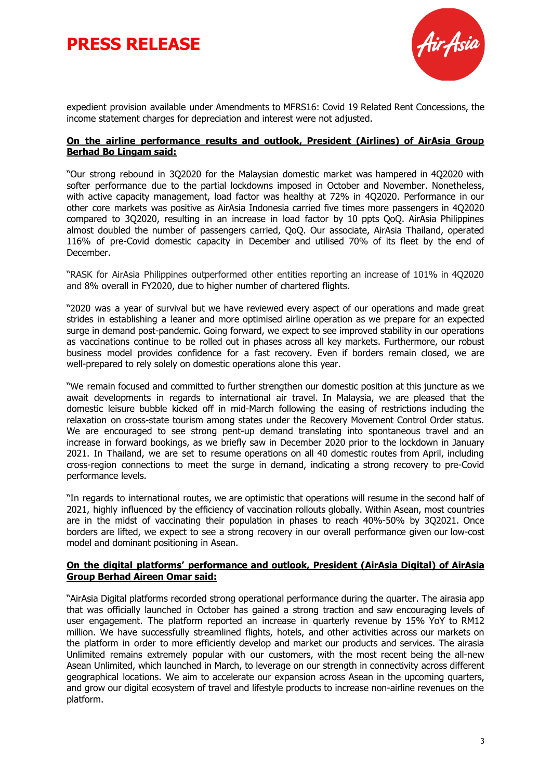# **PRESS RELEASE**



expedient provision available under Amendments to MFRS16: Covid 19 Related Rent Concessions, the income statement charges for depreciation and interest were not adjusted.

#### **On the airline performance results and outlook, President (Airlines) of AirAsia Group Berhad Bo Lingam said:**

"Our strong rebound in 3Q2020 for the Malaysian domestic market was hampered in 4Q2020 with softer performance due to the partial lockdowns imposed in October and November. Nonetheless, with active capacity management, load factor was healthy at 72% in 4Q2020. Performance in our other core markets was positive as AirAsia Indonesia carried five times more passengers in 4Q2020 compared to 3Q2020, resulting in an increase in load factor by 10 ppts QoQ. AirAsia Philippines almost doubled the number of passengers carried, QoQ. Our associate, AirAsia Thailand, operated 116% of pre-Covid domestic capacity in December and utilised 70% of its fleet by the end of December.

"RASK for AirAsia Philippines outperformed other entities reporting an increase of 101% in 4Q2020 and 8% overall in FY2020, due to higher number of chartered flights.

"2020 was a year of survival but we have reviewed every aspect of our operations and made great strides in establishing a leaner and more optimised airline operation as we prepare for an expected surge in demand post-pandemic. Going forward, we expect to see improved stability in our operations as vaccinations continue to be rolled out in phases across all key markets. Furthermore, our robust business model provides confidence for a fast recovery. Even if borders remain closed, we are well-prepared to rely solely on domestic operations alone this year.

"We remain focused and committed to further strengthen our domestic position at this juncture as we await developments in regards to international air travel. In Malaysia, we are pleased that the domestic leisure bubble kicked off in mid-March following the easing of restrictions including the relaxation on cross-state tourism among states under the Recovery Movement Control Order status. We are encouraged to see strong pent-up demand translating into spontaneous travel and an increase in forward bookings, as we briefly saw in December 2020 prior to the lockdown in January 2021. In Thailand, we are set to resume operations on all 40 domestic routes from April, including cross-region connections to meet the surge in demand, indicating a strong recovery to pre-Covid performance levels.

"In regards to international routes, we are optimistic that operations will resume in the second half of 2021, highly influenced by the efficiency of vaccination rollouts globally. Within Asean, most countries are in the midst of vaccinating their population in phases to reach 40%-50% by 3Q2021. Once borders are lifted, we expect to see a strong recovery in our overall performance given our low-cost model and dominant positioning in Asean.

#### **On the digital platforms' performance and outlook, President (AirAsia Digital) of AirAsia Group Berhad Aireen Omar said:**

"AirAsia Digital platforms recorded strong operational performance during the quarter. The airasia app that was officially launched in October has gained a strong traction and saw encouraging levels of user engagement. The platform reported an increase in quarterly revenue by 15% YoY to RM12 million. We have successfully streamlined flights, hotels, and other activities across our markets on the platform in order to more efficiently develop and market our products and services. The airasia Unlimited remains extremely popular with our customers, with the most recent being the all-new Asean Unlimited, which launched in March, to leverage on our strength in connectivity across different geographical locations. We aim to accelerate our expansion across Asean in the upcoming quarters, and grow our digital ecosystem of travel and lifestyle products to increase non-airline revenues on the platform.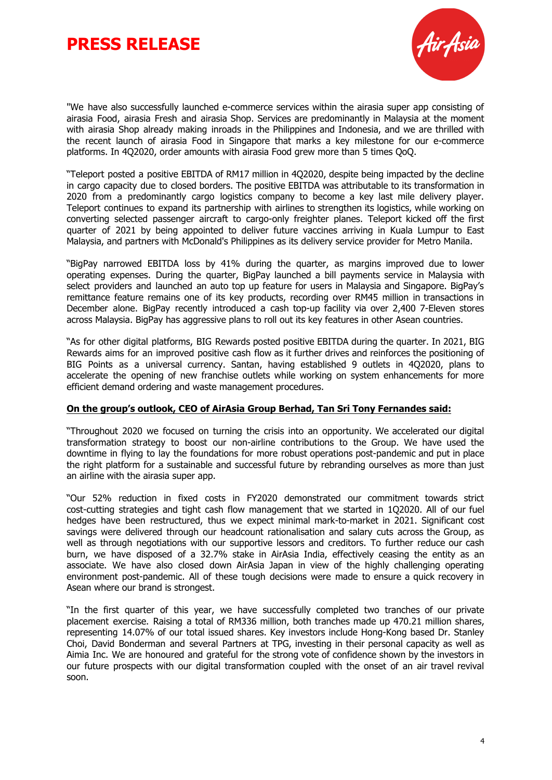# **PRESS RELEASE**



"We have also successfully launched e-commerce services within the airasia super app consisting of airasia Food, airasia Fresh and airasia Shop. Services are predominantly in Malaysia at the moment with airasia Shop already making inroads in the Philippines and Indonesia, and we are thrilled with the recent launch of airasia Food in Singapore that marks a key milestone for our e-commerce platforms. In 4Q2020, order amounts with airasia Food grew more than 5 times QoQ.

"Teleport posted a positive EBITDA of RM17 million in 4Q2020, despite being impacted by the decline in cargo capacity due to closed borders. The positive EBITDA was attributable to its transformation in 2020 from a predominantly cargo logistics company to become a key last mile delivery player. Teleport continues to expand its partnership with airlines to strengthen its logistics, while working on converting selected passenger aircraft to cargo-only freighter planes. Teleport kicked off the first quarter of 2021 by being appointed to deliver future vaccines arriving in Kuala Lumpur to East Malaysia, and partners with McDonald's Philippines as its delivery service provider for Metro Manila.

"BigPay narrowed EBITDA loss by 41% during the quarter, as margins improved due to lower operating expenses. During the quarter, BigPay launched a bill payments service in Malaysia with select providers and launched an auto top up feature for users in Malaysia and Singapore. BigPay's remittance feature remains one of its key products, recording over RM45 million in transactions in December alone. BigPay recently introduced a cash top-up facility via over 2,400 7-Eleven stores across Malaysia. BigPay has aggressive plans to roll out its key features in other Asean countries.

"As for other digital platforms, BIG Rewards posted positive EBITDA during the quarter. In 2021, BIG Rewards aims for an improved positive cash flow as it further drives and reinforces the positioning of BIG Points as a universal currency. Santan, having established 9 outlets in 4Q2020, plans to accelerate the opening of new franchise outlets while working on system enhancements for more efficient demand ordering and waste management procedures.

### **On the group's outlook, CEO of AirAsia Group Berhad, Tan Sri Tony Fernandes said:**

"Throughout 2020 we focused on turning the crisis into an opportunity. We accelerated our digital transformation strategy to boost our non-airline contributions to the Group. We have used the downtime in flying to lay the foundations for more robust operations post-pandemic and put in place the right platform for a sustainable and successful future by rebranding ourselves as more than just an airline with the airasia super app.

"Our 52% reduction in fixed costs in FY2020 demonstrated our commitment towards strict cost-cutting strategies and tight cash flow management that we started in 1Q2020. All of our fuel hedges have been restructured, thus we expect minimal mark-to-market in 2021. Significant cost savings were delivered through our headcount rationalisation and salary cuts across the Group, as well as through negotiations with our supportive lessors and creditors. To further reduce our cash burn, we have disposed of a 32.7% stake in AirAsia India, effectively ceasing the entity as an associate. We have also closed down AirAsia Japan in view of the highly challenging operating environment post-pandemic. All of these tough decisions were made to ensure a quick recovery in Asean where our brand is strongest.

"In the first quarter of this year, we have successfully completed two tranches of our private placement exercise. Raising a total of RM336 million, both tranches made up 470.21 million shares, representing 14.07% of our total issued shares. Key investors include Hong-Kong based Dr. Stanley Choi, David Bonderman and several Partners at TPG, investing in their personal capacity as well as Aimia Inc. We are honoured and grateful for the strong vote of confidence shown by the investors in our future prospects with our digital transformation coupled with the onset of an air travel revival soon.